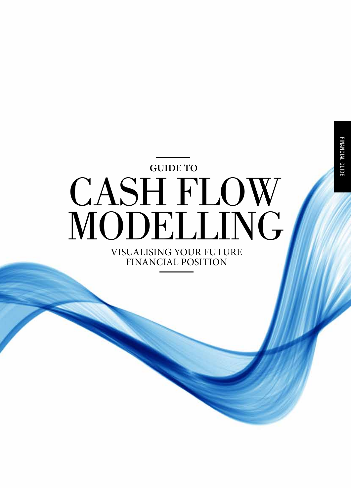CASH FLOW MODELLING Visualising your future **GUIDE TO**

financial position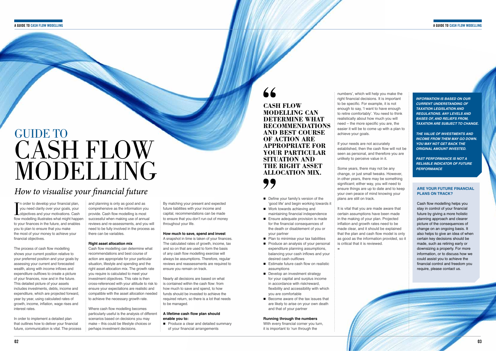### **A Guide to CASH FLOW MODELLING A Guide to CASH FLOW MODELLING**

## *How to visualise your financial future*

The order to develop your financial plan,<br>you need clarity over your goals, your<br>objectives and your motivations. Cash The order to develop your financial plan. you need clarity over your goals, your flow modelling illustrates what might happen to your finances in the future, and enables you to plan to ensure that you make the most of your money to achieve your financial objectives.

The process of cash flow modelling shows your current position relative to your preferred position and your goals by assessing your current and forecasted wealth, along with income inflows and expenditure outflows to create a picture of your finances, now and in the future. This detailed picture of your assets includes investments, debts, income and expenditure, which are projected forward, year by year, using calculated rates of growth, income, inflation, wage rises and interest rates.

In order to implement a detailed plan that outlines how to deliver your financial future, communication is vital. The process

and planning is only as good and as comprehensive as the information you provide. Cash flow modelling is most successful when making use of annual reviews and re-assessments, and you will need to be fully involved in the process as there can be variables.

## **Right asset allocation mix**

 $\blacksquare$  Produce a clear and detailed summary of your financial arrangements

Cash flow modelling can determine what recommendations and best course of action are appropriate for your particular situation, lifestyle and spending and the right asset allocation mix. The growth rate you require is calculated to meet your investment objectives. This rate is then cross-referenced with your attitude to risk to ensure your expectations are realistic and compatible with the asset allocation needed to achieve the necessary growth rate.

- $\blacksquare$  Define your family's version of the 'good life' and begin working towards it
- $\blacksquare$  Work towards achieving and maintaining financial independence
- $\blacksquare$  Ensure adequate provision is made for the financial consequences of the death or disablement of you or your partner
- $\blacksquare$  Plan to minimise your tax liabilities
- $\blacksquare$  Produce an analysis of your personal expenditure planning assumptions, balancing your cash inflows and your desired cash outflows
- $\blacksquare$  Estimate future cash flow on realistic assumptions
- $\blacksquare$  Develop an investment strategy for your capital and surplus income in accordance with risk/reward, flexibility and accessibility with which you are comfortable
- $\blacksquare$  Become aware of the tax issues that are likely to arise on your own death and that of your partner

With every financial corner you turn. it is important to 'run through the

Where cash flow modelling becomes particularly useful is the analysis of different scenarios based on decisions you may make – this could be lifestyle choices or perhaps investment decisions.

By matching your present and expected future liabilities with your income and capital, recommendations can be made to ensure that you don't run out of money throughout your life.

### **How much to save, spend and invest**

A snapshot in time is taken of your finances. The calculated rates of growth, income, tax and so on that are used to form the basis of any cash flow modelling exercise will always be assumptions. Therefore, regular reviews and reassessments are required to ensure you remain on track.

# **GUIDE TO** CASH FLOW MODELLING

Nearly all decisions are based on what is contained within the cash flow: from how much to save and spend, to how funds should be invested to achieve the required return, so there is a lot that needs to be managed.

## **A lifetime cash flow plan should enable you to:**

## **Running through the numbers**

numbers', which will help you make the right financial decisions. It is important to be specific. For example, it is not enough to say, 'I want to have enough to retire comfortably'. You need to think realistically about how much you will need – the more specific you are, the easier it will be to come up with a plan to achieve your goals.

If your needs are not accurately established, then the cash flow will not be seen as personal, and therefore you are unlikely to perceive value in it.

Some years, there may not be any change, or just small tweaks. However, in other years, there may be something significant; either way, you will need to ensure things are up to date and to keep your own peace of mind knowing your plans are still on track.

It is vital that you are made aware that certain assumptions have been made in the making of your plan. Projected inflation and growth rates need to be made clear, and it should be explained that the plan and cash flow model is only as good as the information provided, so it is critical that it is reviewed.

=

*INFORMATION IS BASED ON OUR CURRENT UNDERSTANDING OF TAXATION LEGISLATION AND REGULATIONS. ANY LEVELS AND BASES OF, AND RELIEFS FROM, TAXATION ARE SUBJECT TO CHANGE.*

*THE VALUE OF INVESTMENTS AND INCOME FROM THEM MAY GO DOWN. YOU MAY NOT GET BACK THE ORIGINAL AMOUNT INVESTED.*

*PAST PERFORMANCE IS NOT A RELIABLE INDICATOR OF FUTURE PERFORMANCE*

**Cash flow modelling can DETERMINE WHAT recommendations and best course of action are appropriate for your particular situation and the right asset allocation mix.** 

## **Are your future financial plans on track?**

Cash flow modelling helps you stay in control of your financial future by giving a more holistic planning approach and clearer picture of the consequences of change on an ongoing basis. It also helps to give an idea of when certain key decisions should be made, such as retiring early or downsizing a property. For more information, or to discuss how we could assist you to achieve the financial control and freedom you require, please contact us.